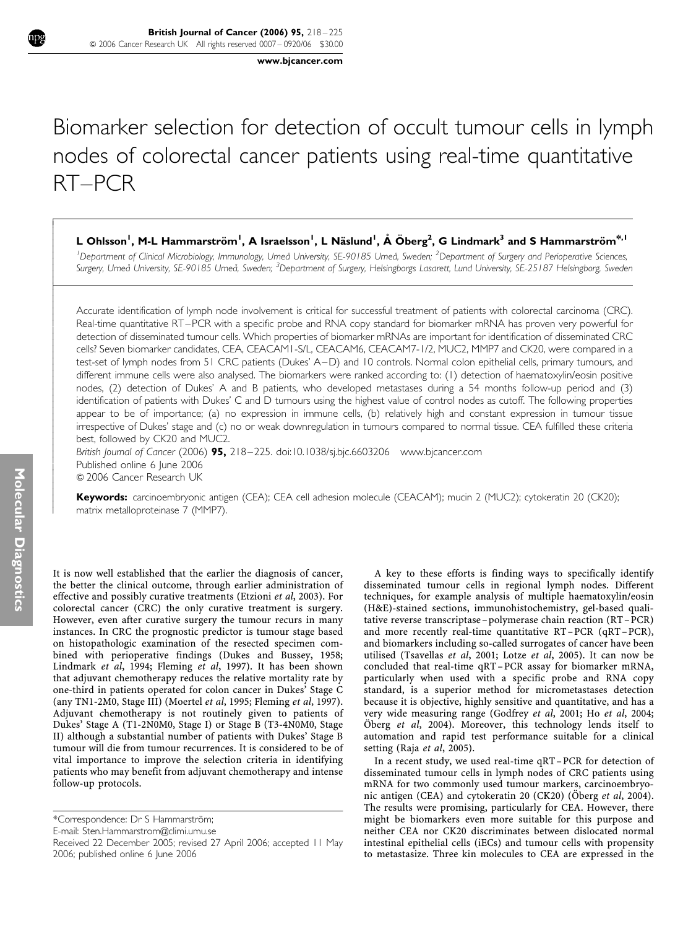www.bjcancer.com

# Biomarker selection for detection of occult tumour cells in lymph nodes of colorectal cancer patients using real-time quantitative RT–PCR

# L Ohlsson<sup>1</sup>, M-L Hammarström<sup>1</sup>, A Israelsson<sup>1</sup>, L Näslund<sup>1</sup>, Å Öberg<sup>2</sup>, G Lindmark<sup>3</sup> and S Hammarström $^{\ast,1}$

<sup>1</sup> Department of Clinical Microbiology, Immunology, Umeå University, SE-90185 Umeå, Sweden; <sup>2</sup> Department of Surgery and Perioperative Sciences, Surgery, Umeå University, SE-90185 Umeå, Sweden; <sup>3</sup>Department of Surgery, Helsingborgs Lasarett, Lund University, SE-25187 Helsingborg, Sweden

Accurate identification of lymph node involvement is critical for successful treatment of patients with colorectal carcinoma (CRC). Real-time quantitative RT–PCR with a specific probe and RNA copy standard for biomarker mRNA has proven very powerful for detection of disseminated tumour cells. Which properties of biomarker mRNAs are important for identification of disseminated CRC cells? Seven biomarker candidates, CEA, CEACAM1-S/L, CEACAM6, CEACAM7-1/2, MUC2, MMP7 and CK20, were compared in a test-set of lymph nodes from 51 CRC patients (Dukes' A–D) and 10 controls. Normal colon epithelial cells, primary tumours, and different immune cells were also analysed. The biomarkers were ranked according to: (1) detection of haematoxylin/eosin positive nodes, (2) detection of Dukes' A and B patients, who developed metastases during a 54 months follow-up period and (3) identification of patients with Dukes' C and D tumours using the highest value of control nodes as cutoff. The following properties appear to be of importance; (a) no expression in immune cells, (b) relatively high and constant expression in tumour tissue irrespective of Dukes' stage and (c) no or weak downregulation in tumours compared to normal tissue. CEA fulfilled these criteria best, followed by CK20 and MUC2.

British Journal of Cancer (2006)  $95.218 - 225.$  doi:10.1038/si.bic.6603206 www.bicancer.com Published online 6 June 2006 © 2006 Cancer Research UK

Keywords: carcinoembryonic antigen (CEA); CEA cell adhesion molecule (CEACAM); mucin 2 (MUC2); cytokeratin 20 (CK20); matrix metalloproteinase 7 (MMP7).

It is now well established that the earlier the diagnosis of cancer, the better the clinical outcome, through earlier administration of effective and possibly curative treatments (Etzioni et al, 2003). For colorectal cancer (CRC) the only curative treatment is surgery. However, even after curative surgery the tumour recurs in many instances. In CRC the prognostic predictor is tumour stage based on histopathologic examination of the resected specimen combined with perioperative findings (Dukes and Bussey, 1958; Lindmark et al, 1994; Fleming et al, 1997). It has been shown that adjuvant chemotherapy reduces the relative mortality rate by one-third in patients operated for colon cancer in Dukes' Stage C (any TN1-2M0, Stage III) (Moertel et al, 1995; Fleming et al, 1997). Adjuvant chemotherapy is not routinely given to patients of Dukes' Stage A (T1-2N0M0, Stage I) or Stage B (T3-4N0M0, Stage II) although a substantial number of patients with Dukes' Stage B tumour will die from tumour recurrences. It is considered to be of vital importance to improve the selection criteria in identifying patients who may benefit from adjuvant chemotherapy and intense follow-up protocols.

E-mail: Sten.Hammarstrom@climi.umu.se

A key to these efforts is finding ways to specifically identify disseminated tumour cells in regional lymph nodes. Different techniques, for example analysis of multiple haematoxylin/eosin (H&E)-stained sections, immunohistochemistry, gel-based qualitative reverse transcriptase – polymerase chain reaction (RT–PCR) and more recently real-time quantitative RT–PCR (qRT–PCR), and biomarkers including so-called surrogates of cancer have been utilised (Tsavellas et al, 2001; Lotze et al, 2005). It can now be concluded that real-time qRT–PCR assay for biomarker mRNA, particularly when used with a specific probe and RNA copy standard, is a superior method for micrometastases detection because it is objective, highly sensitive and quantitative, and has a very wide measuring range (Godfrey et al, 2001; Ho et al, 2004; Öberg et al, 2004). Moreover, this technology lends itself to automation and rapid test performance suitable for a clinical setting (Raja et al, 2005).

In a recent study, we used real-time qRT–PCR for detection of disseminated tumour cells in lymph nodes of CRC patients using mRNA for two commonly used tumour markers, carcinoembryonic antigen (CEA) and cytokeratin 20 (CK20) (Öberg et al, 2004). The results were promising, particularly for CEA. However, there might be biomarkers even more suitable for this purpose and neither CEA nor CK20 discriminates between dislocated normal intestinal epithelial cells (iECs) and tumour cells with propensity to metastasize. Three kin molecules to CEA are expressed in the

Í I I ł

ļ ľ I I I I

ł I I I ł

ł I I I I I

ł I I I

<sup>\*</sup>Correspondence: Dr S Hammarström;

Received 22 December 2005; revised 27 April 2006; accepted 11 May 2006; published online 6 June 2006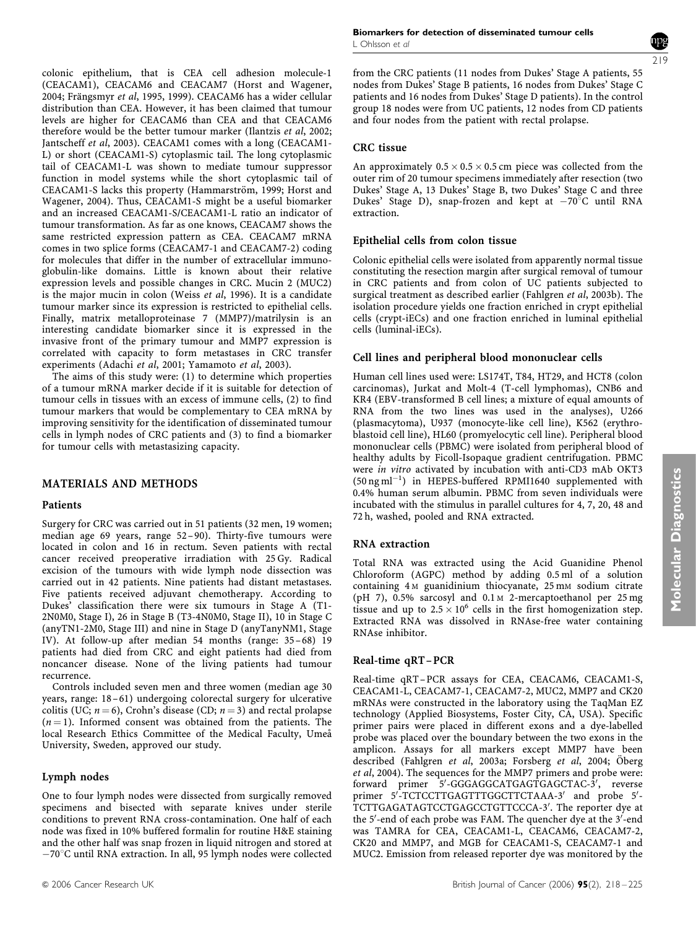colonic epithelium, that is CEA cell adhesion molecule-1 (CEACAM1), CEACAM6 and CEACAM7 (Horst and Wagener, 2004; Frängsmyr et al, 1995, 1999). CEACAM6 has a wider cellular distribution than CEA. However, it has been claimed that tumour levels are higher for CEACAM6 than CEA and that CEACAM6 therefore would be the better tumour marker (Ilantzis et al, 2002; Jantscheff et al, 2003). CEACAM1 comes with a long (CEACAM1- L) or short (CEACAM1-S) cytoplasmic tail. The long cytoplasmic tail of CEACAM1-L was shown to mediate tumour suppressor function in model systems while the short cytoplasmic tail of CEACAM1-S lacks this property (Hammarström, 1999; Horst and Wagener, 2004). Thus, CEACAM1-S might be a useful biomarker and an increased CEACAM1-S/CEACAM1-L ratio an indicator of tumour transformation. As far as one knows, CEACAM7 shows the same restricted expression pattern as CEA. CEACAM7 mRNA comes in two splice forms (CEACAM7-1 and CEACAM7-2) coding for molecules that differ in the number of extracellular immunoglobulin-like domains. Little is known about their relative expression levels and possible changes in CRC. Mucin 2 (MUC2) is the major mucin in colon (Weiss et al, 1996). It is a candidate tumour marker since its expression is restricted to epithelial cells. Finally, matrix metalloproteinase 7 (MMP7)/matrilysin is an interesting candidate biomarker since it is expressed in the invasive front of the primary tumour and MMP7 expression is correlated with capacity to form metastases in CRC transfer experiments (Adachi et al, 2001; Yamamoto et al, 2003).

The aims of this study were: (1) to determine which properties of a tumour mRNA marker decide if it is suitable for detection of tumour cells in tissues with an excess of immune cells, (2) to find tumour markers that would be complementary to CEA mRNA by improving sensitivity for the identification of disseminated tumour cells in lymph nodes of CRC patients and (3) to find a biomarker for tumour cells with metastasizing capacity.

# MATERIALS AND METHODS

#### Patients

Surgery for CRC was carried out in 51 patients (32 men, 19 women; median age 69 years, range 52–90). Thirty-five tumours were located in colon and 16 in rectum. Seven patients with rectal cancer received preoperative irradiation with 25 Gy. Radical excision of the tumours with wide lymph node dissection was carried out in 42 patients. Nine patients had distant metastases. Five patients received adjuvant chemotherapy. According to Dukes' classification there were six tumours in Stage A (T1- 2N0M0, Stage I), 26 in Stage B (T3-4N0M0, Stage II), 10 in Stage C (anyTN1-2M0, Stage III) and nine in Stage D (anyTanyNM1, Stage IV). At follow-up after median 54 months (range: 35–68) 19 patients had died from CRC and eight patients had died from noncancer disease. None of the living patients had tumour recurrence.

Controls included seven men and three women (median age 30 years, range: 18–61) undergoing colorectal surgery for ulcerative colitis (UC;  $n = 6$ ), Crohn's disease (CD;  $n = 3$ ) and rectal prolapse  $(n = 1)$ . Informed consent was obtained from the patients. The local Research Ethics Committee of the Medical Faculty, Umeå University, Sweden, approved our study.

#### Lymph nodes

One to four lymph nodes were dissected from surgically removed specimens and bisected with separate knives under sterile conditions to prevent RNA cross-contamination. One half of each node was fixed in 10% buffered formalin for routine H&E staining and the other half was snap frozen in liquid nitrogen and stored at -70°C until RNA extraction. In all, 95 lymph nodes were collected

from the CRC patients (11 nodes from Dukes' Stage A patients, 55 nodes from Dukes' Stage B patients, 16 nodes from Dukes' Stage C patients and 16 nodes from Dukes' Stage D patients). In the control group 18 nodes were from UC patients, 12 nodes from CD patients and four nodes from the patient with rectal prolapse.

# CRC tissue

An approximately  $0.5 \times 0.5 \times 0.5$  cm piece was collected from the outer rim of 20 tumour specimens immediately after resection (two Dukes' Stage A, 13 Dukes' Stage B, two Dukes' Stage C and three Dukes' Stage D), snap-frozen and kept at  $-70^{\circ}$ C until RNA extraction.

## Epithelial cells from colon tissue

Colonic epithelial cells were isolated from apparently normal tissue constituting the resection margin after surgical removal of tumour in CRC patients and from colon of UC patients subjected to surgical treatment as described earlier (Fahlgren et al, 2003b). The isolation procedure yields one fraction enriched in crypt epithelial cells (crypt-iECs) and one fraction enriched in luminal epithelial cells (luminal-iECs).

# Cell lines and peripheral blood mononuclear cells

Human cell lines used were: LS174T, T84, HT29, and HCT8 (colon carcinomas), Jurkat and Molt-4 (T-cell lymphomas), CNB6 and KR4 (EBV-transformed B cell lines; a mixture of equal amounts of RNA from the two lines was used in the analyses), U266 (plasmacytoma), U937 (monocyte-like cell line), K562 (erythroblastoid cell line), HL60 (promyelocytic cell line). Peripheral blood mononuclear cells (PBMC) were isolated from peripheral blood of healthy adults by Ficoll-Isopaque gradient centrifugation. PBMC were in vitro activated by incubation with anti-CD3 mAb OKT3  $(50 \text{ ng ml}^{-1})$  in HEPES-buffered RPMI1640 supplemented with 0.4% human serum albumin. PBMC from seven individuals were incubated with the stimulus in parallel cultures for 4, 7, 20, 48 and 72 h, washed, pooled and RNA extracted.

#### RNA extraction

Total RNA was extracted using the Acid Guanidine Phenol Chloroform (AGPC) method by adding 0.5 ml of a solution containing 4 M guanidinium thiocyanate, 25 mM sodium citrate (pH 7), 0.5% sarcosyl and 0.1 M 2-mercaptoethanol per 25 mg tissue and up to  $2.5 \times 10^6$  cells in the first homogenization step. Extracted RNA was dissolved in RNAse-free water containing RNAse inhibitor.

#### Real-time qRT–PCR

Real-time qRT– PCR assays for CEA, CEACAM6, CEACAM1-S, CEACAM1-L, CEACAM7-1, CEACAM7-2, MUC2, MMP7 and CK20 mRNAs were constructed in the laboratory using the TaqMan EZ technology (Applied Biosystems, Foster City, CA, USA). Specific primer pairs were placed in different exons and a dye-labelled probe was placed over the boundary between the two exons in the amplicon. Assays for all markers except MMP7 have been described (Fahlgren et al, 2003a; Forsberg et al, 2004; Öberg et al, 2004). The sequences for the MMP7 primers and probe were: forward primer 5'-GGGAGGCATGAGTGAGCTAC-3', reverse primer 5'-TCTCCTTGAGTTTGGCTTCTAAA-3' and probe 5'-TCTTGAGATAGTCCTGAGCCTGTTCCCA-3'. The reporter dye at the 5'-end of each probe was FAM. The quencher dye at the 3'-end was TAMRA for CEA, CEACAM1-L, CEACAM6, CEACAM7-2, CK20 and MMP7, and MGB for CEACAM1-S, CEACAM7-1 and MUC2. Emission from released reporter dye was monitored by the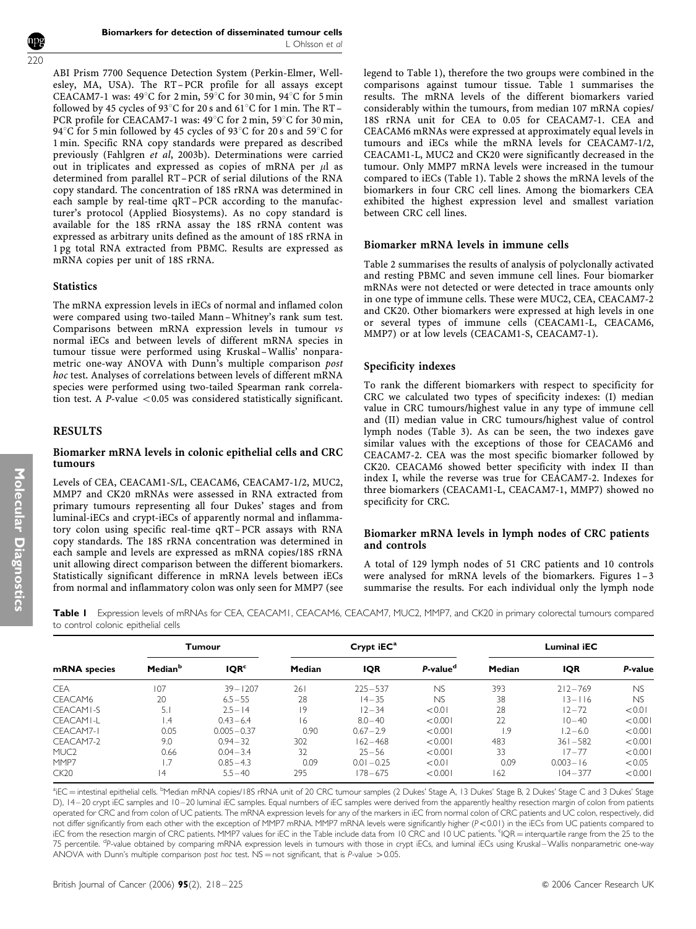ABI Prism 7700 Sequence Detection System (Perkin-Elmer, Wellesley, MA, USA). The RT–PCR profile for all assays except CEACAM7-1 was:  $49^{\circ}$ C for 2 min,  $59^{\circ}$ C for 30 min,  $94^{\circ}$ C for 5 min followed by 45 cycles of 93 $^{\circ}$ C for 20 s and 61 $^{\circ}$ C for 1 min. The RT – PCR profile for CEACAM7-1 was:  $49^{\circ}$ C for 2 min, 59 $^{\circ}$ C for 30 min, 94 $\degree$ C for 5 min followed by 45 cycles of 93 $\degree$ C for 20 s and 59 $\degree$ C for 1 min. Specific RNA copy standards were prepared as described previously (Fahlgren et al, 2003b). Determinations were carried out in triplicates and expressed as copies of mRNA per  $\mu$ l as determined from parallel RT– PCR of serial dilutions of the RNA copy standard. The concentration of 18S rRNA was determined in each sample by real-time qRT–PCR according to the manufacturer's protocol (Applied Biosystems). As no copy standard is available for the 18S rRNA assay the 18S rRNA content was expressed as arbitrary units defined as the amount of 18S rRNA in 1 pg total RNA extracted from PBMC. Results are expressed as mRNA copies per unit of 18S rRNA.

## **Statistics**

The mRNA expression levels in iECs of normal and inflamed colon were compared using two-tailed Mann– Whitney's rank sum test. Comparisons between mRNA expression levels in tumour vs normal iECs and between levels of different mRNA species in tumour tissue were performed using Kruskal–Wallis' nonparametric one-way ANOVA with Dunn's multiple comparison post hoc test. Analyses of correlations between levels of different mRNA species were performed using two-tailed Spearman rank correlation test. A P-value  $< 0.05$  was considered statistically significant.

# RESULTS

## Biomarker mRNA levels in colonic epithelial cells and CRC tumours

Levels of CEA, CEACAM1-S/L, CEACAM6, CEACAM7-1/2, MUC2, MMP7 and CK20 mRNAs were assessed in RNA extracted from primary tumours representing all four Dukes' stages and from luminal-iECs and crypt-iECs of apparently normal and inflammatory colon using specific real-time qRT– PCR assays with RNA copy standards. The 18S rRNA concentration was determined in each sample and levels are expressed as mRNA copies/18S rRNA unit allowing direct comparison between the different biomarkers. Statistically significant difference in mRNA levels between iECs from normal and inflammatory colon was only seen for MMP7 (see

legend to Table 1), therefore the two groups were combined in the comparisons against tumour tissue. Table 1 summarises the results. The mRNA levels of the different biomarkers varied considerably within the tumours, from median 107 mRNA copies/ 18S rRNA unit for CEA to 0.05 for CEACAM7-1. CEA and CEACAM6 mRNAs were expressed at approximately equal levels in tumours and iECs while the mRNA levels for CEACAM7-1/2, CEACAM1-L, MUC2 and CK20 were significantly decreased in the tumour. Only MMP7 mRNA levels were increased in the tumour compared to iECs (Table 1). Table 2 shows the mRNA levels of the biomarkers in four CRC cell lines. Among the biomarkers CEA exhibited the highest expression level and smallest variation between CRC cell lines.

## Biomarker mRNA levels in immune cells

Table 2 summarises the results of analysis of polyclonally activated and resting PBMC and seven immune cell lines. Four biomarker mRNAs were not detected or were detected in trace amounts only in one type of immune cells. These were MUC2, CEA, CEACAM7-2 and CK20. Other biomarkers were expressed at high levels in one or several types of immune cells (CEACAM1-L, CEACAM6, MMP7) or at low levels (CEACAM1-S, CEACAM7-1).

# Specificity indexes

To rank the different biomarkers with respect to specificity for CRC we calculated two types of specificity indexes: (I) median value in CRC tumours/highest value in any type of immune cell and (II) median value in CRC tumours/highest value of control lymph nodes (Table 3). As can be seen, the two indexes gave similar values with the exceptions of those for CEACAM6 and CEACAM7-2. CEA was the most specific biomarker followed by CK20. CEACAM6 showed better specificity with index II than index I, while the reverse was true for CEACAM7-2. Indexes for three biomarkers (CEACAM1-L, CEACAM7-1, MMP7) showed no specificity for CRC.

## Biomarker mRNA levels in lymph nodes of CRC patients and controls

A total of 129 lymph nodes of 51 CRC patients and 10 controls were analysed for mRNA levels of the biomarkers. Figures 1–3 summarise the results. For each individual only the lymph node

Table I Expression levels of mRNAs for CEA, CEACAM1, CEACAM6, CEACAM7, MUC2, MMP7, and CK20 in primary colorectal tumours compared to control colonic epithelial cells

| mRNA species     |                     | Tumour           |        | Crypt $iEC^a$ |                      | <b>Luminal iEC</b> |              |           |  |
|------------------|---------------------|------------------|--------|---------------|----------------------|--------------------|--------------|-----------|--|
|                  | Median <sup>b</sup> | IQR <sup>c</sup> | Median | <b>IQR</b>    | P-value <sup>d</sup> | Median             | <b>IQR</b>   | P-value   |  |
| <b>CEA</b>       | 107                 | $39 - 1207$      | 261    | $225 - 537$   | NS                   | 393                | $212 - 769$  | <b>NS</b> |  |
| CEACAM6          | 20                  | $6.5 - 55$       | 28     | $14 - 35$     | NS                   | 38                 | $13 - 116$   | NS        |  |
| CEACAMI-S        | 5.1                 | $2.5 - 14$       | 19     | $12 - 34$     | < 0.01               | 28                 | $12 - 72$    | < 0.01    |  |
| CFACAMI-I        | $\overline{.4}$     | $0.43 - 6.4$     | 6      | $8.0 - 40$    | < 0.001              | 22                 | $10 - 40$    | < 0.001   |  |
| CEACAM7-1        | 0.05                | $0.005 - 0.37$   | 0.90   | $0.67 - 2.9$  | < 0.001              | 1.9                | $1.2 - 6.0$  | < 0.001   |  |
| CEACAM7-2        | 9.0                 | $0.94 - 32$      | 302    | $162 - 468$   | < 0.001              | 483                | $361 - 582$  | < 0.001   |  |
| MUC <sub>2</sub> | 0.66                | $0.04 - 3.4$     | 32     | $25 - 56$     | < 0.001              | 33                 | $17 - 77$    | < 0.001   |  |
| MMP7             | 1.7                 | $0.85 - 4.3$     | 0.09   | $0.01 - 0.25$ | < 0.01               | 0.09               | $0.003 - 16$ | < 0.05    |  |
| CK20             | 14                  | $5.5 - 40$       | 295    | $178 - 675$   | < 0.001              | 162                | $104 - 377$  | < 0.001   |  |

<sup>a</sup>iEC = intestinal epithelial cells. <sup>b</sup>Median mRNA copies/18S rRNA unit of 20 CRC tumour samples (2 Dukes' Stage A, 13 Dukes' Stage B, 2 Dukes' Stage C and 3 Dukes' Stage D), 14–20 crypt iEC samples and 10–20 luminal iEC samples. Equal numbers of iEC samples were derived from the apparently healthy resection margin of colon from patients operated for CRC and from colon of UC patients. The mRNA expression levels for any of the markers in iEC from normal colon of CRC patients and UC colon, respectively, did not differ significantly from each other with the exception of MMP7 mRNA. MMP7 mRNA levels were significantly higher (P<0.01) in the iECs from UC patients compared to iEC from the resection margin of CRC patients. MMP7 values for iEC in the Table include data from 10 CRC and 10 UC patients. 'IQR = interquartile range from the 25 to the 75 percentile. <sup>dp</sup>-value obtained by comparing mRNA expression levels in tumours with those in crypt iECs, and luminal iECs using Kruskal – Wallis nonparametric one-way ANOVA with Dunn's multiple comparison post hoc test.  $NS =$  not significant, that is P-value  $> 0.05$ .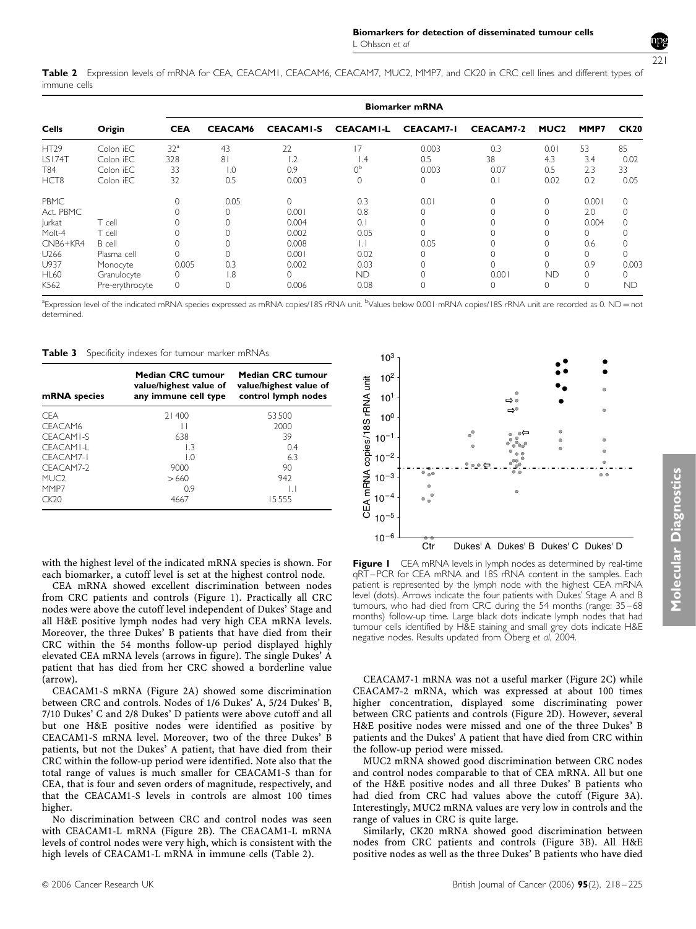Table 2 Expression levels of mRNA for CEA, CEACAM1, CEACAM6, CEACAM7, MUC2, MMP7, and CK20 in CRC cell lines and different types of immune cells

| <b>Cells</b>     |                 | <b>Biomarker mRNA</b>        |                  |                  |                  |                  |                  |             |          |             |  |  |
|------------------|-----------------|------------------------------|------------------|------------------|------------------|------------------|------------------|-------------|----------|-------------|--|--|
|                  | Origin          | <b>CEACAM6</b><br><b>CEA</b> |                  | <b>CEACAMI-S</b> | <b>CEACAMI-L</b> | <b>CEACAM7-I</b> | <b>CEACAM7-2</b> | <b>MUC2</b> | MMP7     | <b>CK20</b> |  |  |
| <b>HT29</b>      | Colon iEC       | 32 <sup>a</sup>              | 43               | 22               | 17               | 0.003            | 0.3              | 0.01        | 53       | 85          |  |  |
| <b>LS174T</b>    | Colon iEC       | 328                          | 81               | 2. ا             | $\mathsf{I}$ .4  | 0.5              | 38               | 4.3         | 3.4      | 0.02        |  |  |
| T84              | Colon iEC       | 33                           | $\overline{0}$ . | 0.9              | 0 <sup>p</sup>   | 0.003            | 0.07             | 0.5         | 2.3      | 33          |  |  |
| HCT <sub>8</sub> | Colon iEC       | 32                           | 0.5              | 0.003            | $\Omega$         | 0                | 0.1              | 0.02        | 0.2      | 0.05        |  |  |
| PBMC             |                 |                              | 0.05             | $\Omega$         | 0.3              | 0.01             | 0                | $\Omega$    | 0.001    | $\Omega$    |  |  |
| Act. PBMC        |                 |                              |                  | 0.001            | 0.8              |                  |                  |             | 2.0      |             |  |  |
| <b>lurkat</b>    | T cell          |                              |                  | 0.004            | 0.1              |                  |                  |             | 0.004    |             |  |  |
| Molt-4           | T cell          |                              |                  | 0.002            | 0.05             |                  |                  |             | 0        |             |  |  |
| CNB6+KR4         | B cell          |                              |                  | 0.008            |                  | 0.05             |                  |             | 0.6      |             |  |  |
| U <sub>266</sub> | Plasma cell     |                              |                  | 0.001            | 0.02             |                  |                  |             | $\Omega$ | 0           |  |  |
| U937             | Monocyte        | 0.005                        | 0.3              | 0.002            | 0.03             |                  | $\Omega$         |             | 0.9      | 0.003       |  |  |
| <b>HL60</b>      | Granulocyte     |                              | 1.8              |                  | ND.              |                  | 0.001            | <b>ND</b>   | $\Omega$ | 0           |  |  |
| K562             | Pre-erythrocyte |                              |                  | 0.006            | 0.08             |                  | 0                | $\Omega$    | $\Omega$ | <b>ND</b>   |  |  |

<sup>a</sup>Expression level of the indicated mRNA species expressed as mRNA copies/18S rRNA unit. <sup>b</sup>Values below 0.001 mRNA copies/18S rRNA unit are recorded as 0. ND = not determined.

Table 3 Specificity indexes for tumour marker mRNAs

| mRNA species     | Median CRC tumour<br>value/highest value of<br>any immune cell type | Median CRC tumour<br>value/highest value of<br>control lymph nodes |
|------------------|---------------------------------------------------------------------|--------------------------------------------------------------------|
| <b>CFA</b>       | 21400                                                               | 53500                                                              |
| CFACAM6          | H                                                                   | 2000                                                               |
| CEACAMI-S        | 638                                                                 | 39                                                                 |
| CFACAMI-I        | 13                                                                  | 0.4                                                                |
| CFACAM7-I        | LO.                                                                 | 6.3                                                                |
| CFACAM7-2        | 9000                                                                | 90                                                                 |
| MUC <sub>2</sub> | >660                                                                | 942                                                                |
| MMP7             | 0.9                                                                 | IJ                                                                 |
| CK 20            | 4667                                                                | 15.555                                                             |

with the highest level of the indicated mRNA species is shown. For each biomarker, a cutoff level is set at the highest control node.

CEA mRNA showed excellent discrimination between nodes from CRC patients and controls (Figure 1). Practically all CRC nodes were above the cutoff level independent of Dukes' Stage and all H&E positive lymph nodes had very high CEA mRNA levels. Moreover, the three Dukes' B patients that have died from their CRC within the 54 months follow-up period displayed highly elevated CEA mRNA levels (arrows in figure). The single Dukes' A patient that has died from her CRC showed a borderline value (arrow).

CEACAM1-S mRNA (Figure 2A) showed some discrimination between CRC and controls. Nodes of 1/6 Dukes' A, 5/24 Dukes' B, 7/10 Dukes' C and 2/8 Dukes' D patients were above cutoff and all but one H&E positive nodes were identified as positive by CEACAM1-S mRNA level. Moreover, two of the three Dukes' B patients, but not the Dukes' A patient, that have died from their CRC within the follow-up period were identified. Note also that the total range of values is much smaller for CEACAM1-S than for CEA, that is four and seven orders of magnitude, respectively, and that the CEACAM1-S levels in controls are almost 100 times higher.

No discrimination between CRC and control nodes was seen with CEACAM1-L mRNA (Figure 2B). The CEACAM1-L mRNA levels of control nodes were very high, which is consistent with the high levels of CEACAM1-L mRNA in immune cells (Table 2).



**Figure I** CEA mRNA levels in lymph nodes as determined by real-time qRT–PCR for CEA mRNA and 18S rRNA content in the samples. Each patient is represented by the lymph node with the highest CEA mRNA level (dots). Arrows indicate the four patients with Dukes' Stage A and B tumours, who had died from CRC during the 54 months (range: 35–68 months) follow-up time. Large black dots indicate lymph nodes that had tumour cells identified by H&E staining and small grey dots indicate H&E negative nodes. Results updated from Öberg et al, 2004.

CEACAM7-1 mRNA was not a useful marker (Figure 2C) while CEACAM7-2 mRNA, which was expressed at about 100 times higher concentration, displayed some discriminating power between CRC patients and controls (Figure 2D). However, several H&E positive nodes were missed and one of the three Dukes' B patients and the Dukes' A patient that have died from CRC within the follow-up period were missed.

MUC2 mRNA showed good discrimination between CRC nodes and control nodes comparable to that of CEA mRNA. All but one of the H&E positive nodes and all three Dukes' B patients who had died from CRC had values above the cutoff (Figure 3A). Interestingly, MUC2 mRNA values are very low in controls and the range of values in CRC is quite large.

Similarly, CK20 mRNA showed good discrimination between nodes from CRC patients and controls (Figure 3B). All H&E positive nodes as well as the three Dukes' B patients who have died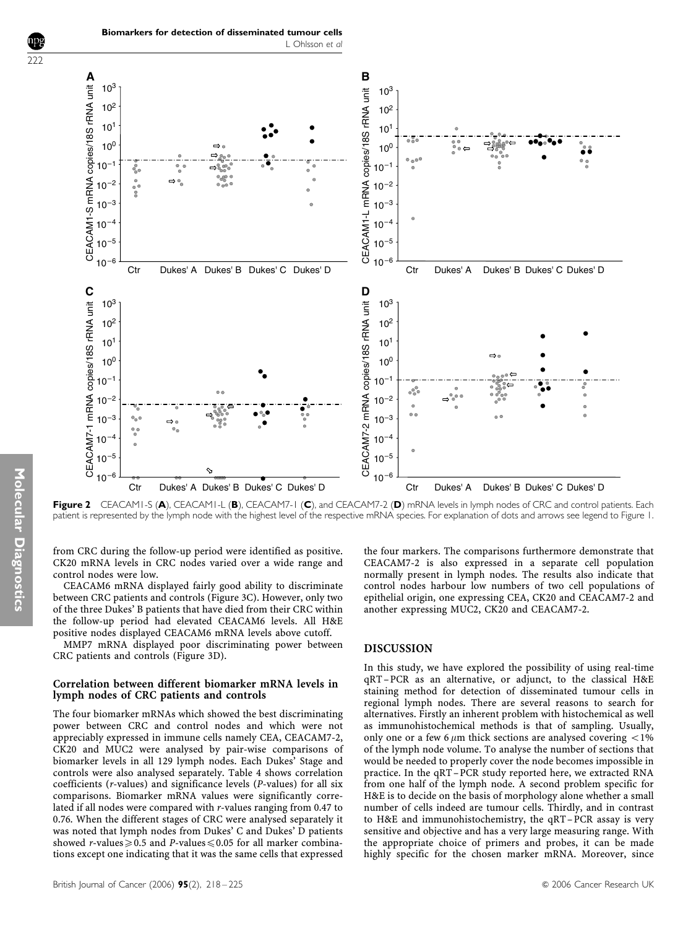

Figure 2 CEACAM1-S (A), CEACAM1-L (B), CEACAM7-1 (C), and CEACAM7-2 (D) mRNA levels in lymph nodes of CRC and control patients. Each patient is represented by the lymph node with the highest level of the respective mRNA species. For explanation of dots and arrows see legend to Figure 1.

from CRC during the follow-up period were identified as positive. CK20 mRNA levels in CRC nodes varied over a wide range and control nodes were low.

CEACAM6 mRNA displayed fairly good ability to discriminate between CRC patients and controls (Figure 3C). However, only two of the three Dukes' B patients that have died from their CRC within the follow-up period had elevated CEACAM6 levels. All H&E positive nodes displayed CEACAM6 mRNA levels above cutoff.

MMP7 mRNA displayed poor discriminating power between CRC patients and controls (Figure 3D).

#### Correlation between different biomarker mRNA levels in lymph nodes of CRC patients and controls

The four biomarker mRNAs which showed the best discriminating power between CRC and control nodes and which were not appreciably expressed in immune cells namely CEA, CEACAM7-2, CK20 and MUC2 were analysed by pair-wise comparisons of biomarker levels in all 129 lymph nodes. Each Dukes' Stage and controls were also analysed separately. Table 4 shows correlation coefficients (r-values) and significance levels (P-values) for all six comparisons. Biomarker mRNA values were significantly correlated if all nodes were compared with r-values ranging from 0.47 to 0.76. When the different stages of CRC were analysed separately it was noted that lymph nodes from Dukes' C and Dukes' D patients showed r-values  $\geq 0.5$  and P-values  $\leq 0.05$  for all marker combinations except one indicating that it was the same cells that expressed the four markers. The comparisons furthermore demonstrate that CEACAM7-2 is also expressed in a separate cell population normally present in lymph nodes. The results also indicate that control nodes harbour low numbers of two cell populations of epithelial origin, one expressing CEA, CK20 and CEACAM7-2 and another expressing MUC2, CK20 and CEACAM7-2.

#### DISCUSSION

In this study, we have explored the possibility of using real-time qRT–PCR as an alternative, or adjunct, to the classical H&E staining method for detection of disseminated tumour cells in regional lymph nodes. There are several reasons to search for alternatives. Firstly an inherent problem with histochemical as well as immunohistochemical methods is that of sampling. Usually, only one or a few 6  $\mu$ m thick sections are analysed covering <1% of the lymph node volume. To analyse the number of sections that would be needed to properly cover the node becomes impossible in practice. In the qRT–PCR study reported here, we extracted RNA from one half of the lymph node. A second problem specific for H&E is to decide on the basis of morphology alone whether a small number of cells indeed are tumour cells. Thirdly, and in contrast to H&E and immunohistochemistry, the qRT– PCR assay is very sensitive and objective and has a very large measuring range. With the appropriate choice of primers and probes, it can be made highly specific for the chosen marker mRNA. Moreover, since

 $\overline{222}$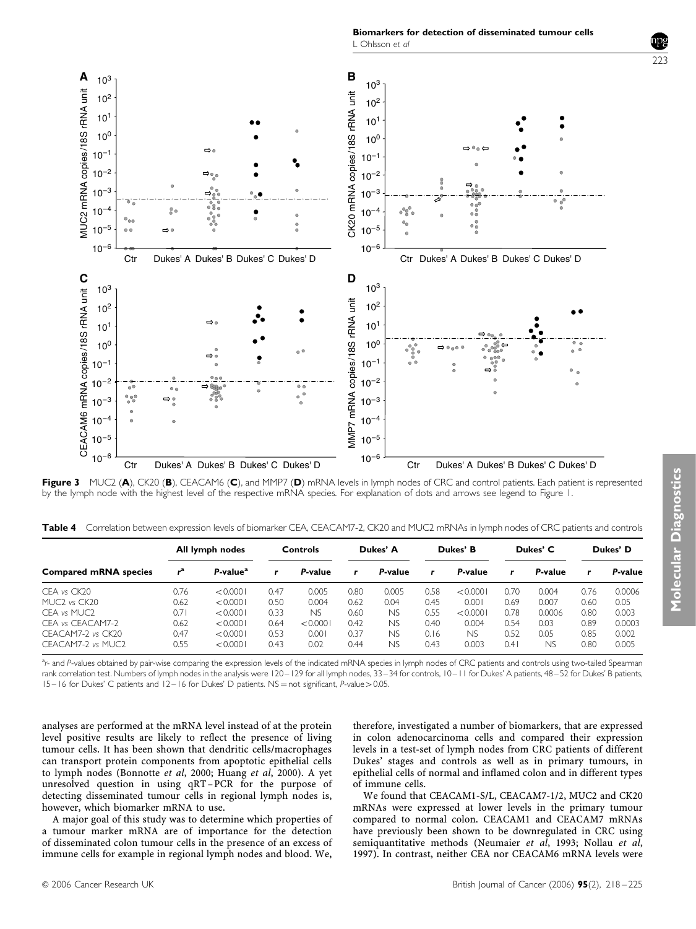Biomarkers for detection of disseminated tumour cells L Ohlsson et al



Figure 3 MUC2 (A), CK20 (B), CEACAM6 (C), and MMP7 (D) mRNA levels in lymph nodes of CRC and control patients. Each patient is represented by the lymph node with the highest level of the respective mRNA species. For explanation of dots and arrows see legend to Figure 1.

Table 4 Correlation between expression levels of biomarker CEA, CEACAM7-2, CK20 and MUC2 mRNAs in lymph nodes of CRC patients and controls

|                                      | All lymph nodes |                      | Controls |          | Dukes' A |         | Dukes' B |          | Dukes' C |         | Dukes' D |         |
|--------------------------------------|-----------------|----------------------|----------|----------|----------|---------|----------|----------|----------|---------|----------|---------|
| <b>Compared mRNA species</b>         |                 | P-value <sup>a</sup> |          | P-value  | r        | P-value | r        | P-value  | r        | P-value | r        | P-value |
| CEA vs CK20                          | 0.76            | < 0.0001             | 0.47     | 0.005    | 0.80     | 0.005   | 0.58     | < 0.0001 | 0.70     | 0.004   | 0.76     | 0.0006  |
| MUC <sub>2</sub> vs CK <sub>20</sub> | 0.62            | < 0.0001             | 0.50     | 0.004    | 0.62     | 0.04    | 0.45     | 0.001    | 0.69     | 0.007   | 0.60     | 0.05    |
| CFA vs MUC <sub>2</sub>              | 0.7             | < 0.0001             | 0.33     | NS       | 0.60     | NS      | 0.55     | < 0.0001 | 0.78     | 0.0006  | 0.80     | 0.003   |
| CFA vs CFACAM7-2                     | 0.62            | < 0.0001             | 0.64     | < 0.0001 | 0.42     | NS      | 0.40     | 0.004    | 0.54     | 0.03    | 0.89     | 0.0003  |
| CEACAM7-2 vs CK20                    | 0.47            | < 0.0001             | 0.53     | 0.001    | 0.37     | NS      | 0.16     | NS       | 0.52     | 0.05    | 0.85     | 0.002   |
| CFACAM7-2 vs MUC2                    | 0.55            | < 0.0001             | 0.43     | 0.02     | 0.44     | NS      | 0.43     | 0.003    | 0.4      | ΝS      | 0.80     | 0.005   |

a.<br>A and P-values obtained by pair-wise comparing the expression levels of the indicated mRNA species in lymph nodes of CRC patients and controls using two-tailed Spearman rank correlation test. Numbers of lymph nodes in the analysis were 120–129 for all lymph nodes, 33–34 for controls, 10–11 for Dukes' A patients, 48–52 for Dukes' B patients,  $15-16$  for Dukes' C patients and  $12-16$  for Dukes' D patients. NS = not significant, P-value > 0.05.

analyses are performed at the mRNA level instead of at the protein level positive results are likely to reflect the presence of living tumour cells. It has been shown that dendritic cells/macrophages can transport protein components from apoptotic epithelial cells to lymph nodes (Bonnotte et al, 2000; Huang et al, 2000). A yet unresolved question in using qRT– PCR for the purpose of detecting disseminated tumour cells in regional lymph nodes is, however, which biomarker mRNA to use.

A major goal of this study was to determine which properties of a tumour marker mRNA are of importance for the detection of disseminated colon tumour cells in the presence of an excess of immune cells for example in regional lymph nodes and blood. We,

therefore, investigated a number of biomarkers, that are expressed in colon adenocarcinoma cells and compared their expression levels in a test-set of lymph nodes from CRC patients of different Dukes' stages and controls as well as in primary tumours, in epithelial cells of normal and inflamed colon and in different types of immune cells.

We found that CEACAM1-S/L, CEACAM7-1/2, MUC2 and CK20 mRNAs were expressed at lower levels in the primary tumour compared to normal colon. CEACAM1 and CEACAM7 mRNAs have previously been shown to be downregulated in CRC using semiquantitative methods (Neumaier et al, 1993; Nollau et al, 1997). In contrast, neither CEA nor CEACAM6 mRNA levels were

ววว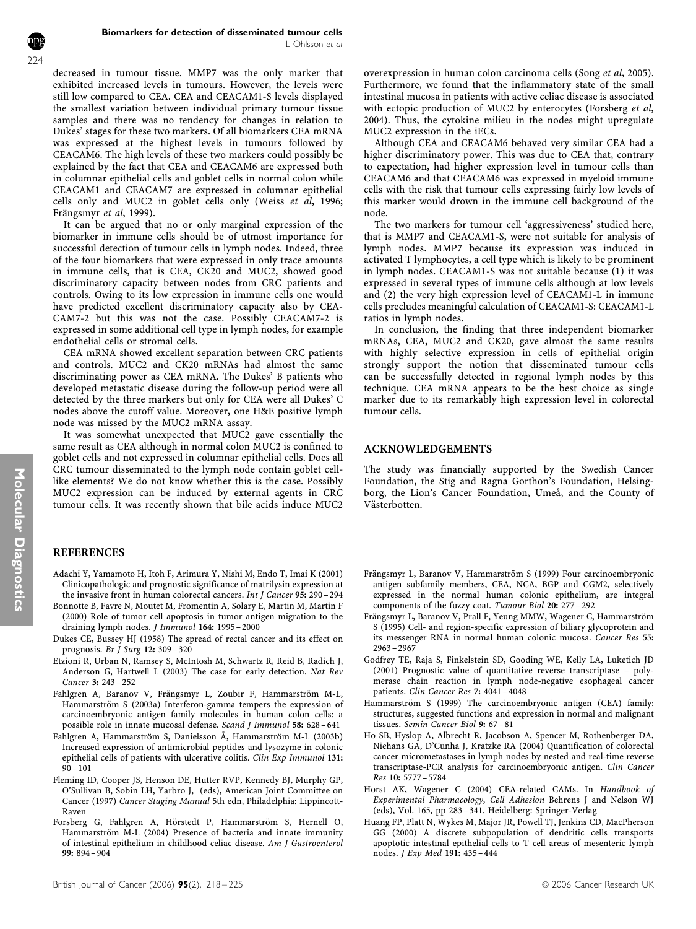decreased in tumour tissue. MMP7 was the only marker that exhibited increased levels in tumours. However, the levels were still low compared to CEA. CEA and CEACAM1-S levels displayed the smallest variation between individual primary tumour tissue samples and there was no tendency for changes in relation to Dukes' stages for these two markers. Of all biomarkers CEA mRNA was expressed at the highest levels in tumours followed by CEACAM6. The high levels of these two markers could possibly be explained by the fact that CEA and CEACAM6 are expressed both in columnar epithelial cells and goblet cells in normal colon while CEACAM1 and CEACAM7 are expressed in columnar epithelial cells only and MUC2 in goblet cells only (Weiss et al, 1996; Frängsmyr et al, 1999).

It can be argued that no or only marginal expression of the biomarker in immune cells should be of utmost importance for successful detection of tumour cells in lymph nodes. Indeed, three of the four biomarkers that were expressed in only trace amounts in immune cells, that is CEA, CK20 and MUC2, showed good discriminatory capacity between nodes from CRC patients and controls. Owing to its low expression in immune cells one would have predicted excellent discriminatory capacity also by CEA-CAM7-2 but this was not the case. Possibly CEACAM7-2 is expressed in some additional cell type in lymph nodes, for example endothelial cells or stromal cells.

CEA mRNA showed excellent separation between CRC patients and controls. MUC2 and CK20 mRNAs had almost the same discriminating power as CEA mRNA. The Dukes' B patients who developed metastatic disease during the follow-up period were all detected by the three markers but only for CEA were all Dukes' C nodes above the cutoff value. Moreover, one H&E positive lymph node was missed by the MUC2 mRNA assay.

It was somewhat unexpected that MUC2 gave essentially the same result as CEA although in normal colon MUC2 is confined to goblet cells and not expressed in columnar epithelial cells. Does all CRC tumour disseminated to the lymph node contain goblet celllike elements? We do not know whether this is the case. Possibly MUC2 expression can be induced by external agents in CRC tumour cells. It was recently shown that bile acids induce MUC2

# REFERENCES

- Adachi Y, Yamamoto H, Itoh F, Arimura Y, Nishi M, Endo T, Imai K (2001) Clinicopathologic and prognostic significance of matrilysin expression at the invasive front in human colorectal cancers. Int J Cancer 95: 290 – 294
- Bonnotte B, Favre N, Moutet M, Fromentin A, Solary E, Martin M, Martin F (2000) Role of tumor cell apoptosis in tumor antigen migration to the draining lymph nodes. J Immunol 164: 1995-2000
- Dukes CE, Bussey HJ (1958) The spread of rectal cancer and its effect on prognosis. Br J Surg 12: 309 – 320
- Etzioni R, Urban N, Ramsey S, McIntosh M, Schwartz R, Reid B, Radich J, Anderson G, Hartwell L (2003) The case for early detection. Nat Rev Cancer 3: 243 – 252
- Fahlgren A, Baranov V, Frängsmyr L, Zoubir F, Hammarström M-L, Hammarström S (2003a) Interferon-gamma tempers the expression of carcinoembryonic antigen family molecules in human colon cells: a possible role in innate mucosal defense. Scand J Immunol 58: 628 – 641
- Fahlgren A, Hammarström S, Danielsson Å, Hammarström M-L (2003b) Increased expression of antimicrobial peptides and lysozyme in colonic epithelial cells of patients with ulcerative colitis. Clin Exp Immunol 131:  $90 - 101$
- Fleming ID, Cooper JS, Henson DE, Hutter RVP, Kennedy BJ, Murphy GP, O'Sullivan B, Sobin LH, Yarbro J, (eds), American Joint Committee on Cancer (1997) Cancer Staging Manual 5th edn, Philadelphia: Lippincott-Raven
- Forsberg G, Fahlgren A, Hörstedt P, Hammarström S, Hernell O, Hammarström M-L (2004) Presence of bacteria and innate immunity of intestinal epithelium in childhood celiac disease. Am J Gastroenterol 99: 894 – 904

overexpression in human colon carcinoma cells (Song et al, 2005). Furthermore, we found that the inflammatory state of the small intestinal mucosa in patients with active celiac disease is associated with ectopic production of MUC2 by enterocytes (Forsberg et al, 2004). Thus, the cytokine milieu in the nodes might upregulate MUC2 expression in the iECs.

Although CEA and CEACAM6 behaved very similar CEA had a higher discriminatory power. This was due to CEA that, contrary to expectation, had higher expression level in tumour cells than CEACAM6 and that CEACAM6 was expressed in myeloid immune cells with the risk that tumour cells expressing fairly low levels of this marker would drown in the immune cell background of the node.

The two markers for tumour cell 'aggressiveness' studied here, that is MMP7 and CEACAM1-S, were not suitable for analysis of lymph nodes. MMP7 because its expression was induced in activated T lymphocytes, a cell type which is likely to be prominent in lymph nodes. CEACAM1-S was not suitable because (1) it was expressed in several types of immune cells although at low levels and (2) the very high expression level of CEACAM1-L in immune cells precludes meaningful calculation of CEACAM1-S: CEACAM1-L ratios in lymph nodes.

In conclusion, the finding that three independent biomarker mRNAs, CEA, MUC2 and CK20, gave almost the same results with highly selective expression in cells of epithelial origin strongly support the notion that disseminated tumour cells can be successfully detected in regional lymph nodes by this technique. CEA mRNA appears to be the best choice as single marker due to its remarkably high expression level in colorectal tumour cells.

#### ACKNOWLEDGEMENTS

The study was financially supported by the Swedish Cancer Foundation, the Stig and Ragna Gorthon's Foundation, Helsingborg, the Lion's Cancer Foundation, Umeå, and the County of Västerbotten.

- Frängsmyr L, Baranov V, Hammarström S (1999) Four carcinoembryonic antigen subfamily members, CEA, NCA, BGP and CGM2, selectively expressed in the normal human colonic epithelium, are integral components of the fuzzy coat. Tumour Biol 20: 277 – 292
- Frängsmyr L, Baranov V, Prall F, Yeung MMW, Wagener C, Hammarström S (1995) Cell- and region-specific expression of biliary glycoprotein and its messenger RNA in normal human colonic mucosa. Cancer Res 55: 2963 – 2967
- Godfrey TE, Raja S, Finkelstein SD, Gooding WE, Kelly LA, Luketich JD (2001) Prognostic value of quantitative reverse transcriptase – polymerase chain reaction in lymph node-negative esophageal cancer patients. Clin Cancer Res 7: 4041 – 4048
- Hammarström S (1999) The carcinoembryonic antigen (CEA) family: structures, suggested functions and expression in normal and malignant tissues. Semin Cancer Biol 9: 67-81
- Ho SB, Hyslop A, Albrecht R, Jacobson A, Spencer M, Rothenberger DA, Niehans GA, D'Cunha J, Kratzke RA (2004) Quantification of colorectal cancer micrometastases in lymph nodes by nested and real-time reverse transcriptase-PCR analysis for carcinoembryonic antigen. Clin Cancer Res 10: 5777 – 5784
- Horst AK, Wagener C (2004) CEA-related CAMs. In Handbook of Experimental Pharmacology, Cell Adhesion Behrens J and Nelson WJ (eds), Vol. 165, pp 283 – 341. Heidelberg: Springer-Verlag
- Huang FP, Platt N, Wykes M, Major JR, Powell TJ, Jenkins CD, MacPherson GG (2000) A discrete subpopulation of dendritic cells transports apoptotic intestinal epithelial cells to T cell areas of mesenteric lymph nodes. J Exp Med 191: 435 – 444